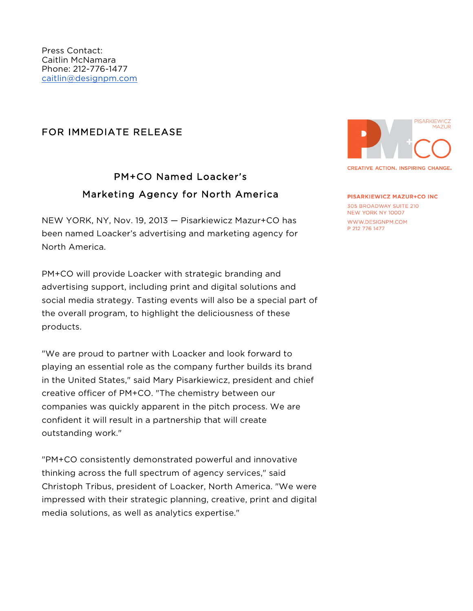## FOR IMMEDIATE RELEASE

## PM+CO Named Loacker's Marketing Agency for North America

NEW YORK, NY, Nov. 19, 2013 — Pisarkiewicz Mazur+CO has been named Loacker's advertising and marketing agency for North America.

PM+CO will provide Loacker with strategic branding and advertising support, including print and digital solutions and social media strategy. Tasting events will also be a special part of the overall program, to highlight the deliciousness of these products.

"We are proud to partner with Loacker and look forward to playing an essential role as the company further builds its brand in the United States," said Mary Pisarkiewicz, president and chief creative officer of PM+CO. "The chemistry between our companies was quickly apparent in the pitch process. We are confident it will result in a partnership that will create outstanding work."

"PM+CO consistently demonstrated powerful and innovative thinking across the full spectrum of agency services," said Christoph Tribus, president of Loacker, North America. "We were impressed with their strategic planning, creative, print and digital media solutions, as well as analytics expertise."



**CREATIVE ACTION, INSPIRING CHANGE,** 

**PISARKIEWICZ MAZUR+CO INC** 305 BROADWAY SUITE 210 NEW YORK NY 10007 WWW.DESIGNPM.COM P 212 776 1477